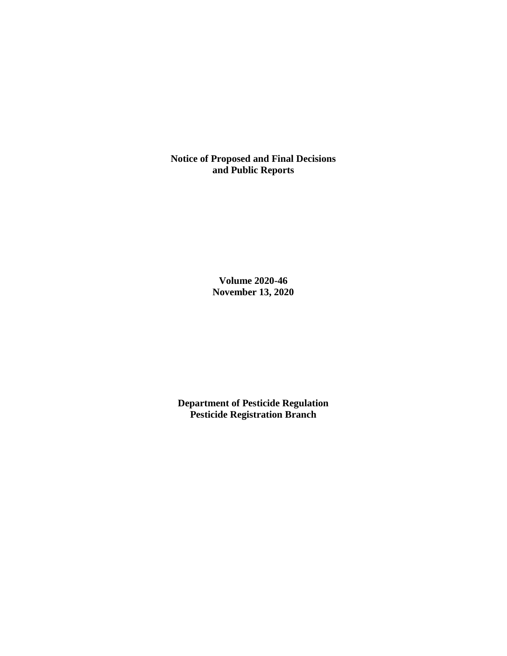**Notice of Proposed and Final Decisions and Public Reports**

> **Volume 2020-46 November 13, 2020**

**Department of Pesticide Regulation Pesticide Registration Branch**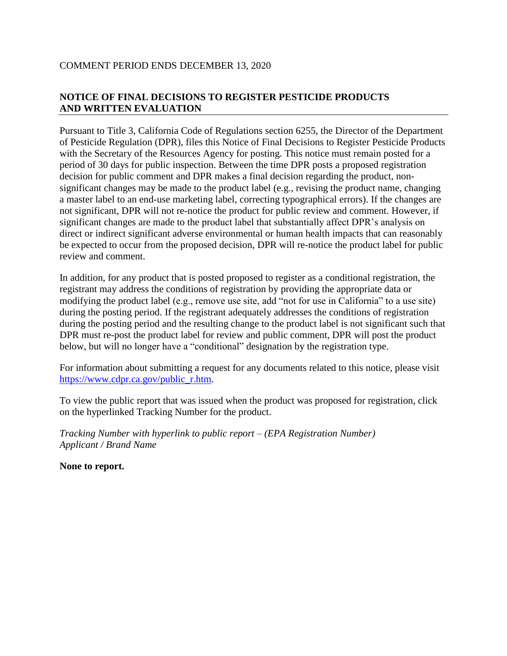# COMMENT PERIOD ENDS DECEMBER 13, 2020

# **NOTICE OF FINAL DECISIONS TO REGISTER PESTICIDE PRODUCTS AND WRITTEN EVALUATION**

Pursuant to Title 3, California Code of Regulations section 6255, the Director of the Department of Pesticide Regulation (DPR), files this Notice of Final Decisions to Register Pesticide Products with the Secretary of the Resources Agency for posting. This notice must remain posted for a period of 30 days for public inspection. Between the time DPR posts a proposed registration decision for public comment and DPR makes a final decision regarding the product, nonsignificant changes may be made to the product label (e.g., revising the product name, changing a master label to an end-use marketing label, correcting typographical errors). If the changes are not significant, DPR will not re-notice the product for public review and comment. However, if significant changes are made to the product label that substantially affect DPR's analysis on direct or indirect significant adverse environmental or human health impacts that can reasonably be expected to occur from the proposed decision, DPR will re-notice the product label for public review and comment.

In addition, for any product that is posted proposed to register as a conditional registration, the registrant may address the conditions of registration by providing the appropriate data or modifying the product label (e.g., remove use site, add "not for use in California" to a use site) during the posting period. If the registrant adequately addresses the conditions of registration during the posting period and the resulting change to the product label is not significant such that DPR must re-post the product label for review and public comment, DPR will post the product below, but will no longer have a "conditional" designation by the registration type.

For information about submitting a request for any documents related to this notice, please visit [https://www.cdpr.ca.gov/public\\_r.htm.](https://www.cdpr.ca.gov/public_r.htm)

To view the public report that was issued when the product was proposed for registration, click on the hyperlinked Tracking Number for the product.

*Tracking Number with hyperlink to public report – (EPA Registration Number) Applicant / Brand Name*

**None to report.**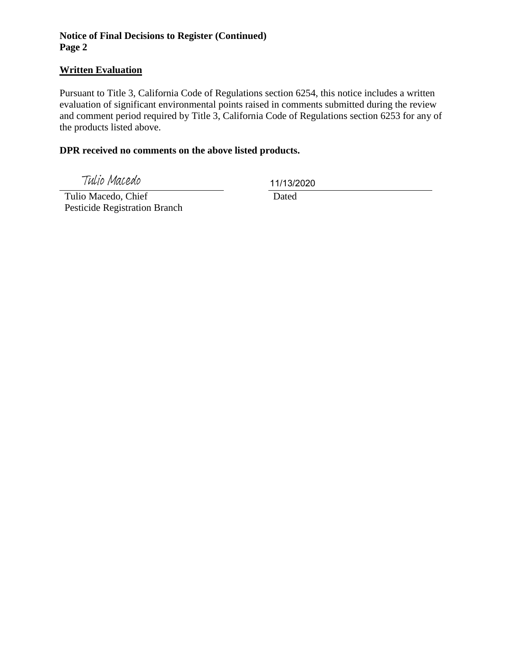# **Notice of Final Decisions to Register (Continued) Page 2**

#### **Written Evaluation**

Pursuant to Title 3, California Code of Regulations section 6254, this notice includes a written evaluation of significant environmental points raised in comments submitted during the review and comment period required by Title 3, California Code of Regulations section 6253 for any of the products listed above.

### **DPR received no comments on the above listed products.**

Tulio Macedo

11/13/2020

 Tulio Macedo, Chief Pesticide Registration Branch

Dated